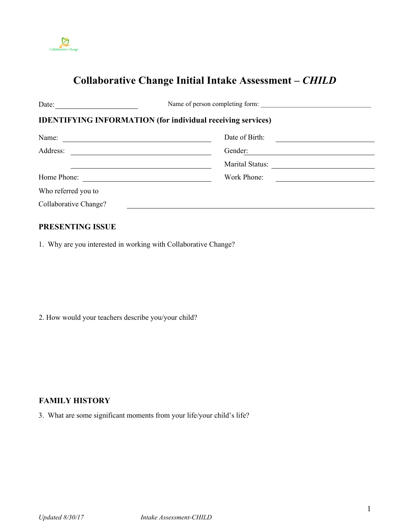

# **Collaborative Change Initial Intake Assessment** *– CHILD*

| Date:                 | Name of person completing form:                                    |  |
|-----------------------|--------------------------------------------------------------------|--|
|                       | <b>IDENTIFYING INFORMATION (for individual receiving services)</b> |  |
| Name:                 | Date of Birth:                                                     |  |
| Address:              | Gender:                                                            |  |
|                       | Marital Status:                                                    |  |
| Home Phone:           | Work Phone:                                                        |  |
| Who referred you to   |                                                                    |  |
| Collaborative Change? |                                                                    |  |

#### **PRESENTING ISSUE**

1. Why are you interested in working with Collaborative Change?

2. How would your teachers describe you/your child?

# **FAMILY HISTORY**

3. What are some significant moments from your life/your child's life?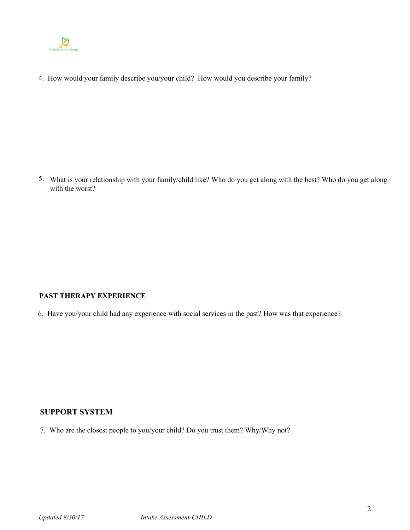

4. How would your family describe you/your child? How would you describe your family?

5. What is your relationship with your family/child like? Who do you get along with the best? Who do you get along with the worst?

# **PAST THERAPY EXPERIENCE**

6. Have you/your child had any experience with social services in the past? How was that experience?

# **SUPPORT SYSTEM**

7. Who are the closest people to you/your child? Do you trust them? Why/Why not?